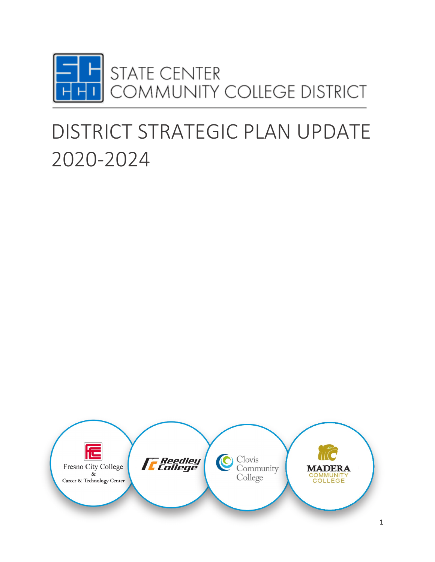

# DISTRICT STRATEGIC PLAN UPDATE 2020-2024

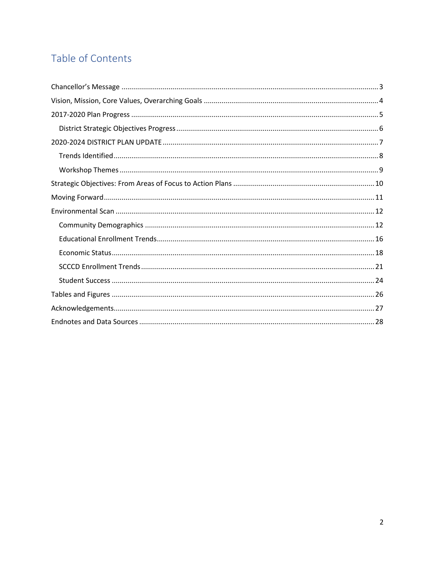## Table of Contents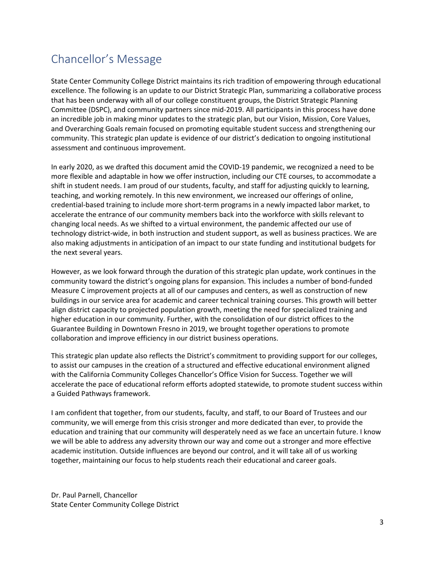## <span id="page-2-0"></span>Chancellor's Message

State Center Community College District maintains its rich tradition of empowering through educational excellence. The following is an update to our District Strategic Plan, summarizing a collaborative process that has been underway with all of our college constituent groups, the District Strategic Planning Committee (DSPC), and community partners since mid-2019. All participants in this process have done an incredible job in making minor updates to the strategic plan, but our Vision, Mission, Core Values, and Overarching Goals remain focused on promoting equitable student success and strengthening our community. This strategic plan update is evidence of our district's dedication to ongoing institutional assessment and continuous improvement.

In early 2020, as we drafted this document amid the COVID-19 pandemic, we recognized a need to be more flexible and adaptable in how we offer instruction, including our CTE courses, to accommodate a shift in student needs. I am proud of our students, faculty, and staff for adjusting quickly to learning, teaching, and working remotely. In this new environment, we increased our offerings of online, credential-based training to include more short-term programs in a newly impacted labor market, to accelerate the entrance of our community members back into the workforce with skills relevant to changing local needs. As we shifted to a virtual environment, the pandemic affected our use of technology district-wide, in both instruction and student support, as well as business practices. We are also making adjustments in anticipation of an impact to our state funding and institutional budgets for the next several years.

However, as we look forward through the duration of this strategic plan update, work continues in the community toward the district's ongoing plans for expansion. This includes a number of bond-funded Measure C improvement projects at all of our campuses and centers, as well as construction of new buildings in our service area for academic and career technical training courses. This growth will better align district capacity to projected population growth, meeting the need for specialized training and higher education in our community. Further, with the consolidation of our district offices to the Guarantee Building in Downtown Fresno in 2019, we brought together operations to promote collaboration and improve efficiency in our district business operations.

This strategic plan update also reflects the District's commitment to providing support for our colleges, to assist our campuses in the creation of a structured and effective educational environment aligned with the California Community Colleges Chancellor's Office Vision for Success. Together we will accelerate the pace of educational reform efforts adopted statewide, to promote student success within a Guided Pathways framework.

I am confident that together, from our students, faculty, and staff, to our Board of Trustees and our community, we will emerge from this crisis stronger and more dedicated than ever, to provide the education and training that our community will desperately need as we face an uncertain future. I know we will be able to address any adversity thrown our way and come out a stronger and more effective academic institution. Outside influences are beyond our control, and it will take all of us working together, maintaining our focus to help students reach their educational and career goals.

Dr. Paul Parnell, Chancellor State Center Community College District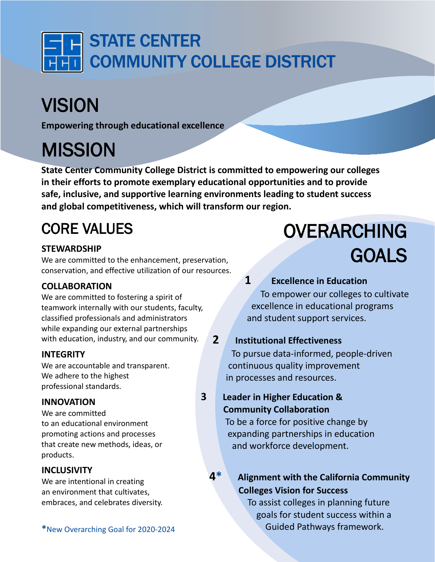<span id="page-3-0"></span>

# VISION

**Empowering through educational excellence**

## **MISSION**

**State Center Community College District is committed to empowering our colleges in their efforts to promote exemplary educational opportunities and to provide safe, inclusive, and supportive learning environments leading to student success and global competitiveness, which will transform our region.** 

## CORE VALUES

### **STEWARDSHIP**

We are committed to the enhancement, preservation, conservation, and effective utilization of our resources.

### **COLLABORATION**

We are committed to fostering a spirit of teamwork internally with our students, faculty, classified professionals and administrators while expanding our external partnerships with education, industry, and our community.

### **INTEGRITY**

We are accountable and transparent. We adhere to the highest professional standards.

#### **INNOVATION**

We are committed to an educational environment promoting actions and processes that create new methods, ideas, or products.

#### **INCLUSIVITY**

We are intentional in creating an environment that cultivates, embraces, and celebrates diversity.

# OVERARCHING GOALS

**1 Excellence in Education** To empower our colleges to cultivate excellence in educational programs and student support services.

### **2 Institutional Effectiveness**

To pursue data-informed, people-driven continuous quality improvement in processes and resources.

## **3 Leader in Higher Education & Community Collaboration**

 To be a force for positive change by expanding partnerships in education and workforce development.

## **4\* Alignment with the California Community Colleges Vision for Success**

 To assist colleges in planning future goals for student success within a \*New Overarching Goal for 2020-2024 **Cuided Pathways framework.**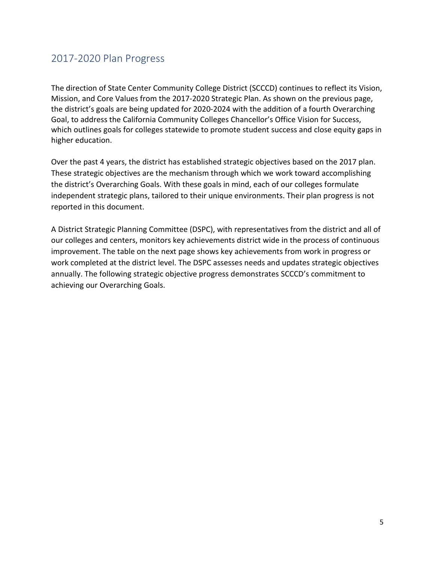## <span id="page-4-0"></span>2017-2020 Plan Progress

The direction of State Center Community College District (SCCCD) continues to reflect its Vision, Mission, and Core Values from the 2017-2020 Strategic Plan. As shown on the previous page, the district's goals are being updated for 2020-2024 with the addition of a fourth Overarching Goal, to address the California Community Colleges Chancellor's Office Vision for Success, which outlines goals for colleges statewide to promote student success and close equity gaps in higher education.

Over the past 4 years, the district has established strategic objectives based on the 2017 plan. These strategic objectives are the mechanism through which we work toward accomplishing the district's Overarching Goals. With these goals in mind, each of our colleges formulate independent strategic plans, tailored to their unique environments. Their plan progress is not reported in this document.

A District Strategic Planning Committee (DSPC), with representatives from the district and all of our colleges and centers, monitors key achievements district wide in the process of continuous improvement. The table on the next page shows key achievements from work in progress or work completed at the district level. The DSPC assesses needs and updates strategic objectives annually. The following strategic objective progress demonstrates SCCCD's commitment to achieving our Overarching Goals.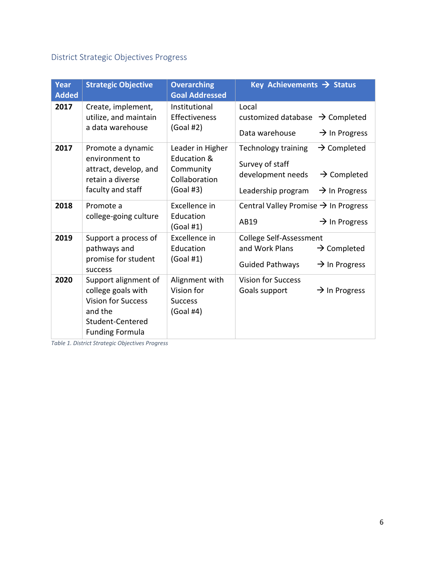## <span id="page-5-0"></span>District Strategic Objectives Progress

| Year<br><b>Added</b> | <b>Strategic Objective</b>                                                                                                       | <b>Overarching</b><br><b>Goal Addressed</b>                                | Key Achievements $\rightarrow$ Status                                                                                                                                       |
|----------------------|----------------------------------------------------------------------------------------------------------------------------------|----------------------------------------------------------------------------|-----------------------------------------------------------------------------------------------------------------------------------------------------------------------------|
| 2017                 | Create, implement,<br>utilize, and maintain<br>a data warehouse                                                                  | Institutional<br>Effectiveness<br>(Goal #2)                                | Local<br>customized database $\rightarrow$ Completed<br>Data warehouse<br>$\rightarrow$ In Progress                                                                         |
| 2017                 | Promote a dynamic<br>environment to<br>attract, develop, and<br>retain a diverse<br>faculty and staff                            | Leader in Higher<br>Education &<br>Community<br>Collaboration<br>(Goal #3) | <b>Technology training</b><br>$\rightarrow$ Completed<br>Survey of staff<br>development needs<br>$\rightarrow$ Completed<br>Leadership program<br>$\rightarrow$ In Progress |
| 2018                 | Promote a<br>college-going culture                                                                                               | Excellence in<br>Education<br>(Goal #1)                                    | Central Valley Promise $\rightarrow$ In Progress<br>$\rightarrow$ In Progress<br>AB19                                                                                       |
| 2019                 | Support a process of<br>pathways and<br>promise for student<br>success                                                           | Excellence in<br>Education<br>(Goal #1)                                    | College Self-Assessment<br>and Work Plans<br>$\rightarrow$ Completed<br><b>Guided Pathways</b><br>$\rightarrow$ In Progress                                                 |
| 2020                 | Support alignment of<br>college goals with<br><b>Vision for Success</b><br>and the<br>Student-Centered<br><b>Funding Formula</b> | Alignment with<br>Vision for<br><b>Success</b><br>$(Goal \#4)$             | <b>Vision for Success</b><br>Goals support<br>$\rightarrow$ In Progress                                                                                                     |

<span id="page-5-1"></span>*Table 1. District Strategic Objectives Progress*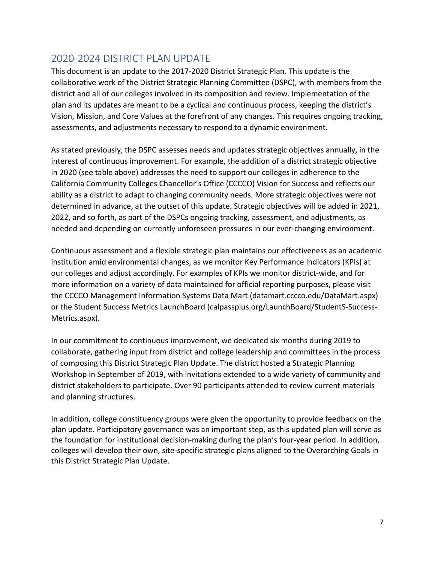## <span id="page-6-0"></span>2020-2024 DISTRICT PLAN UPDATE

This document is an update to the 2017-2020 District Strategic Plan. This update is the collaborative work of the District Strategic Planning Committee (DSPC), with members from the district and all of our colleges involved in its composition and review. Implementation of the plan and its updates are meant to be a cyclical and continuous process, keeping the district's Vision, Mission, and Core Values at the forefront of any changes. This requires ongoing tracking, assessments, and adjustments necessary to respond to a dynamic environment.

As stated previously, the DSPC assesses needs and updates strategic objectives annually, in the interest of continuous improvement. For example, the addition of a district strategic objective in 2020 (see table above) addresses the need to support our colleges in adherence to the California Community Colleges Chancellor's Office (CCCCO) Vision for Success and reflects our ability as a district to adapt to changing community needs. More strategic objectives were not determined in advance, at the outset of this update. Strategic objectives will be added in 2021, 2022, and so forth, as part of the DSPCs ongoing tracking, assessment, and adjustments, as needed and depending on currently unforeseen pressures in our ever-changing environment.

Continuous assessment and a flexible strategic plan maintains our effectiveness as an academic institution amid environmental changes, as we monitor Key Performance Indicators (KPIs) at our colleges and adjust accordingly. For examples of KPIs we monitor district-wide, and for more information on a variety of data maintained for official reporting purposes, please visit the CCCCO Management Information Systems Data Mart [\(datamart.cccco.edu/DataMart.aspx\)](http://www.datamart.cccco.edu/DataMart.aspx) or the Student Success Metrics LaunchBoard [\(calpassplus.org/LaunchBoard/StudentS-Success-](http://www.calpassplus.org/LaunchBoard/StudentS-Success-Metrics.aspx)[Metrics.aspx\)](http://www.calpassplus.org/LaunchBoard/StudentS-Success-Metrics.aspx).

In our commitment to continuous improvement, we dedicated six months during 2019 to collaborate, gathering input from district and college leadership and committees in the process of composing this District Strategic Plan Update. The district hosted a Strategic Planning Workshop in September of 2019, with invitations extended to a wide variety of community and district stakeholders to participate. Over 90 participants attended to review current materials and planning structures.

In addition, college constituency groups were given the opportunity to provide feedback on the plan update. Participatory governance was an important step, as this updated plan will serve as the foundation for institutional decision-making during the plan's four-year period. In addition, colleges will develop their own, site-specific strategic plans aligned to the Overarching Goals in this District Strategic Plan Update.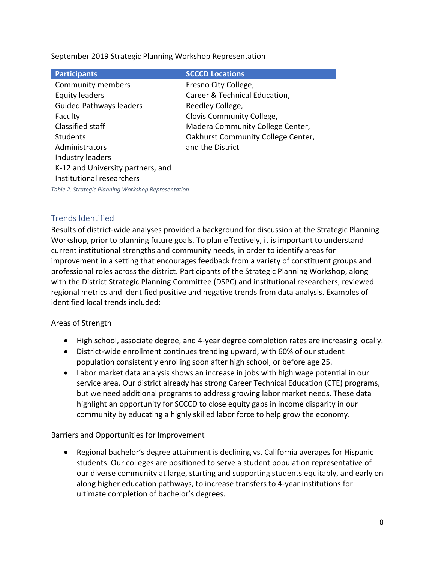September 2019 Strategic Planning Workshop Representation

| <b>Participants</b>               | <b>SCCCD Locations</b>             |
|-----------------------------------|------------------------------------|
| <b>Community members</b>          | Fresno City College,               |
| <b>Equity leaders</b>             | Career & Technical Education,      |
| <b>Guided Pathways leaders</b>    | Reedley College,                   |
| Faculty                           | Clovis Community College,          |
| Classified staff                  | Madera Community College Center,   |
| <b>Students</b>                   | Oakhurst Community College Center, |
| Administrators                    | and the District                   |
| Industry leaders                  |                                    |
| K-12 and University partners, and |                                    |
| Institutional researchers         |                                    |

<span id="page-7-1"></span>*Table 2. Strategic Planning Workshop Representation*

#### <span id="page-7-0"></span>Trends Identified

Results of district-wide analyses provided a background for discussion at the Strategic Planning Workshop, prior to planning future goals. To plan effectively, it is important to understand current institutional strengths and community needs, in order to identify areas for improvement in a setting that encourages feedback from a variety of constituent groups and professional roles across the district. Participants of the Strategic Planning Workshop, along with the District Strategic Planning Committee (DSPC) and institutional researchers, reviewed regional metrics and identified positive and negative trends from data analysis. Examples of identified local trends included:

#### Areas of Strength

- High school, associate degree, and 4-year degree completion rates are increasing locally.
- District-wide enrollment continues trending upward, with 60% of our student population consistently enrolling soon after high school, or before age 25.
- Labor market data analysis shows an increase in jobs with high wage potential in our service area. Our district already has strong Career Technical Education (CTE) programs, but we need additional programs to address growing labor market needs. These data highlight an opportunity for SCCCD to close equity gaps in income disparity in our community by educating a highly skilled labor force to help grow the economy.

Barriers and Opportunities for Improvement

• Regional bachelor's degree attainment is declining vs. California averages for Hispanic students. Our colleges are positioned to serve a student population representative of our diverse community at large, starting and supporting students equitably, and early on along higher education pathways, to increase transfers to 4-year institutions for ultimate completion of bachelor's degrees.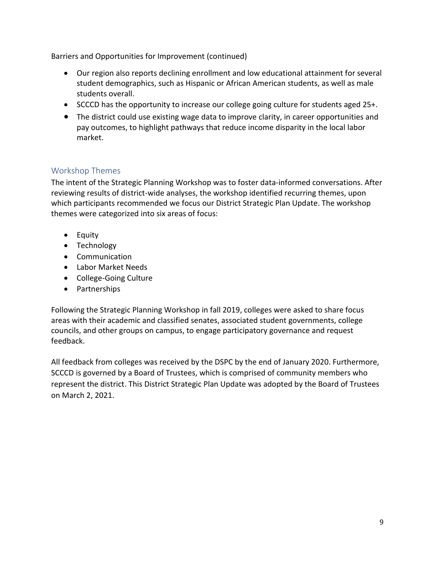Barriers and Opportunities for Improvement (continued)

- Our region also reports declining enrollment and low educational attainment for several student demographics, such as Hispanic or African American students, as well as male students overall.
- SCCCD has the opportunity to increase our college going culture for students aged 25+.
- The district could use existing wage data to improve clarity, in career opportunities and pay outcomes, to highlight pathways that reduce income disparity in the local labor market.

#### <span id="page-8-0"></span>Workshop Themes

The intent of the Strategic Planning Workshop was to foster data-informed conversations. After reviewing results of district-wide analyses, the workshop identified recurring themes, upon which participants recommended we focus our District Strategic Plan Update. The workshop themes were categorized into six areas of focus:

- Equity
- Technology
- Communication
- Labor Market Needs
- College-Going Culture
- Partnerships

Following the Strategic Planning Workshop in fall 2019, colleges were asked to share focus areas with their academic and classified senates, associated student governments, college councils, and other groups on campus, to engage participatory governance and request feedback.

All feedback from colleges was received by the DSPC by the end of January 2020. Furthermore, SCCCD is governed by a Board of Trustees, which is comprised of community members who represent the district. This District Strategic Plan Update was adopted by the Board of Trustees on March 2, 2021.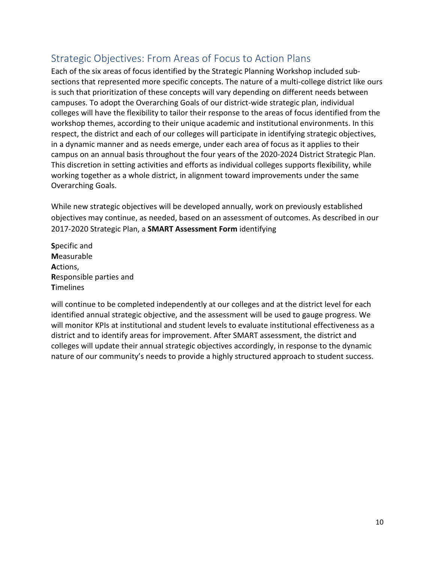## <span id="page-9-0"></span>Strategic Objectives: From Areas of Focus to Action Plans

Each of the six areas of focus identified by the Strategic Planning Workshop included subsections that represented more specific concepts. The nature of a multi-college district like ours is such that prioritization of these concepts will vary depending on different needs between campuses. To adopt the Overarching Goals of our district-wide strategic plan, individual colleges will have the flexibility to tailor their response to the areas of focus identified from the workshop themes, according to their unique academic and institutional environments. In this respect, the district and each of our colleges will participate in identifying strategic objectives, in a dynamic manner and as needs emerge, under each area of focus as it applies to their campus on an annual basis throughout the four years of the 2020-2024 District Strategic Plan. This discretion in setting activities and efforts as individual colleges supports flexibility, while working together as a whole district, in alignment toward improvements under the same Overarching Goals.

While new strategic objectives will be developed annually, work on previously established objectives may continue, as needed, based on an assessment of outcomes. As described in our 2017-2020 Strategic Plan, a **SMART Assessment Form** identifying

**S**pecific and **M**easurable **A**ctions, **R**esponsible parties and **T**imelines

will continue to be completed independently at our colleges and at the district level for each identified annual strategic objective, and the assessment will be used to gauge progress. We will monitor KPIs at institutional and student levels to evaluate institutional effectiveness as a district and to identify areas for improvement. After SMART assessment, the district and colleges will update their annual strategic objectives accordingly, in response to the dynamic nature of our community's needs to provide a highly structured approach to student success.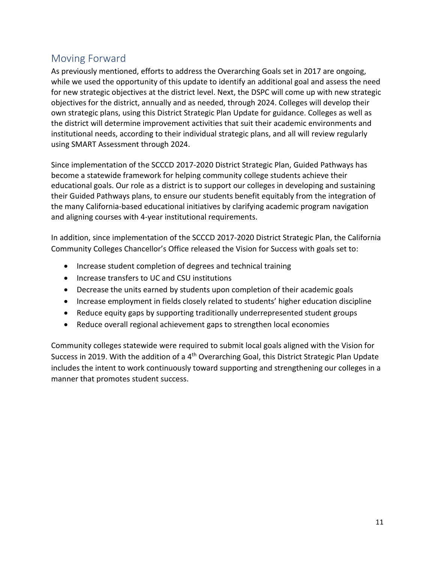## <span id="page-10-0"></span>Moving Forward

As previously mentioned, efforts to address the Overarching Goals set in 2017 are ongoing, while we used the opportunity of this update to identify an additional goal and assess the need for new strategic objectives at the district level. Next, the DSPC will come up with new strategic objectives for the district, annually and as needed, through 2024. Colleges will develop their own strategic plans, using this District Strategic Plan Update for guidance. Colleges as well as the district will determine improvement activities that suit their academic environments and institutional needs, according to their individual strategic plans, and all will review regularly using SMART Assessment through 2024.

Since implementation of the SCCCD 2017-2020 District Strategic Plan, Guided Pathways has become a statewide framework for helping community college students achieve their educational goals. Our role as a district is to support our colleges in developing and sustaining their Guided Pathways plans, to ensure our students benefit equitably from the integration of the many California-based educational initiatives by clarifying academic program navigation and aligning courses with 4-year institutional requirements.

In addition, since implementation of the SCCCD 2017-2020 District Strategic Plan, the California Community Colleges Chancellor's Office released the Vision for Success with goals set to:

- Increase student completion of degrees and technical training
- Increase transfers to UC and CSU institutions
- Decrease the units earned by students upon completion of their academic goals
- Increase employment in fields closely related to students' higher education discipline
- Reduce equity gaps by supporting traditionally underrepresented student groups
- Reduce overall regional achievement gaps to strengthen local economies

Community colleges statewide were required to submit local goals aligned with the Vision for Success in 2019. With the addition of a 4<sup>th</sup> Overarching Goal, this District Strategic Plan Update includes the intent to work continuously toward supporting and strengthening our colleges in a manner that promotes student success.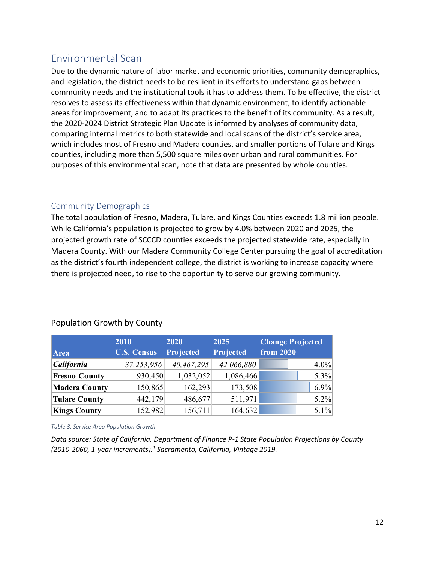## <span id="page-11-0"></span>Environmental Scan

Due to the dynamic nature of labor market and economic priorities, community demographics, and legislation, the district needs to be resilient in its efforts to understand gaps between community needs and the institutional tools it has to address them. To be effective, the district resolves to assess its effectiveness within that dynamic environment, to identify actionable areas for improvement, and to adapt its practices to the benefit of its community. As a result, the 2020-2024 District Strategic Plan Update is informed by analyses of community data, comparing internal metrics to both statewide and local scans of the district's service area, which includes most of Fresno and Madera counties, and smaller portions of Tulare and Kings counties, including more than 5,500 square miles over urban and rural communities. For purposes of this environmental scan, note that data are presented by whole counties.

#### <span id="page-11-1"></span>Community Demographics

The total population of Fresno, Madera, Tulare, and Kings Counties exceeds 1.8 million people. While California's population is projected to grow by 4.0% between 2020 and 2025, the projected growth rate of SCCCD counties exceeds the projected statewide rate, especially in Madera County. With our Madera Community College Center pursuing the goal of accreditation as the district's fourth independent college, the district is working to increase capacity where there is projected need, to rise to the opportunity to serve our growing community.

|                      | 2010               | 2020       | 2025       | <b>Change Projected</b> |
|----------------------|--------------------|------------|------------|-------------------------|
| Area                 | <b>U.S. Census</b> | Projected  | Projected  | from 2020               |
| California           | 37,253,956         | 40,467,295 | 42,066,880 | $4.0\%$                 |
| <b>Fresno County</b> | 930,450            | 1,032,052  | 1,086,466  | $5.3\%$                 |
| <b>Madera County</b> | 150,865            | 162,293    | 173,508    | $6.9\%$                 |
| <b>Tulare County</b> | 442,179            | 486,677    | 511,971    | $5.2\%$                 |
| <b>Kings County</b>  | 152,982            | 156,711    | 164,632    | $5.1\%$                 |

#### Population Growth by County

<span id="page-11-2"></span>*Table 3. Service Area Population Growth*

*Data source: State of California, Department of Finance P-1 State Population Projections by County (2010-2060, 1-year increments). <sup>1</sup> Sacramento, California, Vintage 2019.*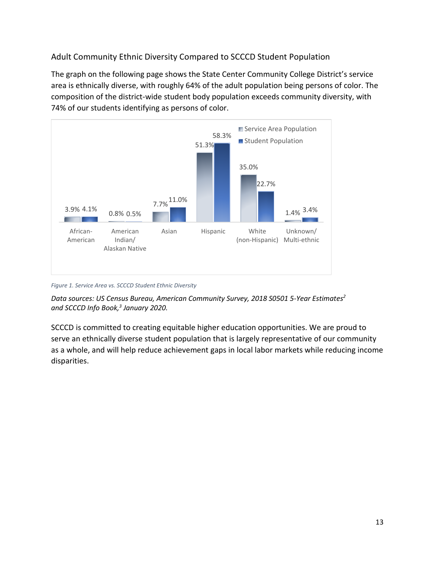<span id="page-12-0"></span>Adult Community Ethnic Diversity Compared to SCCCD Student Population

The graph on the following page shows the State Center Community College District's service area is ethnically diverse, with roughly 64% of the adult population being persons of color. The composition of the district-wide student body population exceeds community diversity, with 74% of our students identifying as persons of color.



*Figure 1. Service Area vs. SCCCD Student Ethnic Diversity*

*Data sources: US Census Bureau, American Community Survey, 2018 S0501 5-Year Estimates2 and SCCCD Info Book,3 January 2020.* 

SCCCD is committed to creating equitable higher education opportunities. We are proud to serve an ethnically diverse student population that is largely representative of our community as a whole, and will help reduce achievement gaps in local labor markets while reducing income disparities.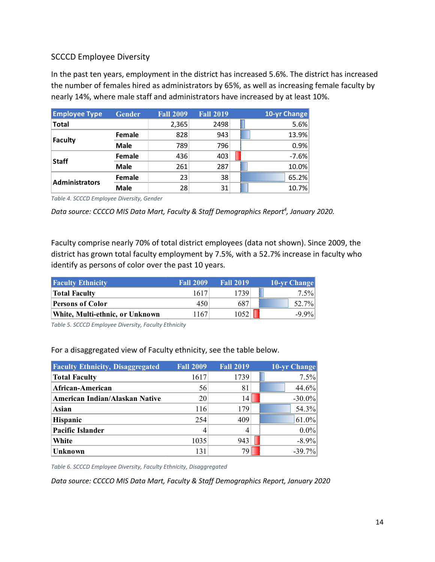#### SCCCD Employee Diversity

In the past ten years, employment in the district has increased 5.6%. The district has increased the number of females hired as administrators by 65%, as well as increasing female faculty by nearly 14%, where male staff and administrators have increased by at least 10%.

| <b>Employee Type</b>  | <b>Gender</b> | <b>Fall 2009</b> | <b>Fall 2019</b> | 10-yr Change |
|-----------------------|---------------|------------------|------------------|--------------|
| <b>Total</b>          |               | 2,365            | 2498             | 5.6%         |
|                       | Female        | 828              | 943              | 13.9%        |
| <b>Faculty</b>        | Male          | 789              | 796              | 0.9%         |
| <b>Staff</b>          | <b>Female</b> | 436              | 403              | $-7.6%$      |
|                       | Male          | 261              | 287              | 10.0%        |
| <b>Administrators</b> | <b>Female</b> | 23               | 38               | 65.2%        |
|                       | Male          | 28               | 31               | 10.7%        |

<span id="page-13-0"></span>*Table 4. SCCCD Employee Diversity, Gender*

Data source: CCCCO MIS Data Mart, Faculty & Staff Demographics Report<sup>4</sup>, January 2020.

Faculty comprise nearly 70% of total district employees (data not shown). Since 2009, the district has grown total faculty employment by 7.5%, with a 52.7% increase in faculty who identify as persons of color over the past 10 years.

| <b>Faculty Ethnicity</b>        | <b>Fall 2009</b> | <b>Fall 2019</b> | <b>10-yr Change</b> |
|---------------------------------|------------------|------------------|---------------------|
| <b>Total Faculty</b>            | 1617             | 1739             | $7.5\%$             |
| <b>Persons of Color</b>         | 450              | 687              | 52.7%               |
| White, Multi-ethnic, or Unknown | 167              | 1052             | $-9.9\%$            |

<span id="page-13-1"></span>*Table 5. SCCCD Employee Diversity, Faculty Ethnicity*

For a disaggregated view of Faculty ethnicity, see the table below.

| <b>Faculty Ethnicity, Disaggregated</b> | <b>Fall 2009</b> | <b>Fall 2019</b> | 10-yr Change |
|-----------------------------------------|------------------|------------------|--------------|
| <b>Total Faculty</b>                    | 1617             | 1739             | $7.5\%$      |
| African-American                        | 56               | 81               | 44.6%        |
| American Indian/Alaskan Native          | 20               | 14               | $-30.0\%$    |
| Asian                                   | 116              | 179              | 54.3%        |
| Hispanic                                | 254              | 409              | 61.0%        |
| <b>Pacific Islander</b>                 |                  |                  | $0.0\%$      |
| White                                   | 1035             | 943              | $-8.9\%$     |
| <b>Unknown</b>                          | 131              | 79               | $-39.7%$     |

<span id="page-13-2"></span>*Table 6. SCCCD Employee Diversity, Faculty Ethnicity, Disaggregated*

*Data source: CCCCO MIS Data Mart, Faculty & Staff Demographics Report, January 2020*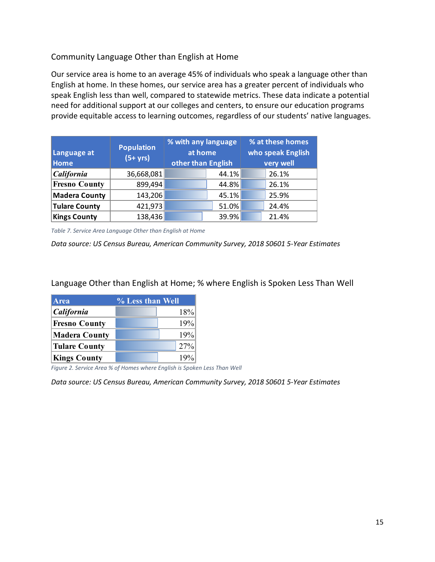#### Community Language Other than English at Home

Our service area is home to an average 45% of individuals who speak a language other than English at home. In these homes, our service area has a greater percent of individuals who speak English less than well, compared to statewide metrics. These data indicate a potential need for additional support at our colleges and centers, to ensure our education programs provide equitable access to learning outcomes, regardless of our students' native languages.

<span id="page-14-0"></span>

| Language at<br><b>Home</b> | <b>Population</b><br>$(5+ yrs)$ | % with any language<br>at home<br>other than English |       | % at these homes<br>who speak English<br>very well |
|----------------------------|---------------------------------|------------------------------------------------------|-------|----------------------------------------------------|
| California                 | 36,668,081                      |                                                      | 44.1% | 26.1%                                              |
| <b>Fresno County</b>       | 899,494                         |                                                      | 44.8% | 26.1%                                              |
| <b>Madera County</b>       | 143,206                         |                                                      | 45.1% | 25.9%                                              |
| <b>Tulare County</b>       | 421,973                         |                                                      | 51.0% | 24.4%                                              |
| <b>Kings County</b>        | 138,436                         |                                                      | 39.9% | 21.4%                                              |

*Table 7. Service Area Language Other than English at Home*

*Data source: US Census Bureau, American Community Survey, 2018 S0601 5-Year Estimates*

Language Other than English at Home; % where English is Spoken Less Than Well

| <b>Area</b>          | % Less than Well |     |
|----------------------|------------------|-----|
| <b>California</b>    |                  | 18% |
| <b>Fresno County</b> |                  | 19% |
| <b>Madera County</b> |                  | 19% |
| <b>Tulare County</b> |                  | 27% |
| <b>Kings County</b>  |                  | 19% |

<span id="page-14-1"></span>*Figure 2. Service Area % of Homes where English is Spoken Less Than Well*

*Data source: US Census Bureau, American Community Survey, 2018 S0601 5-Year Estimates*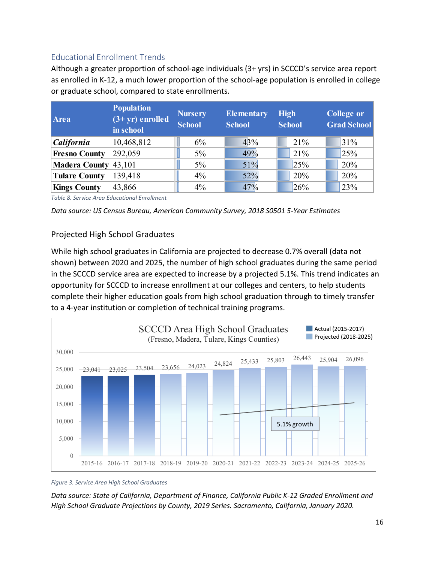#### <span id="page-15-0"></span>Educational Enrollment Trends

Although a greater proportion of school-age individuals (3+ yrs) in SCCCD's service area report as enrolled in K-12, a much lower proportion of the school-age population is enrolled in college or graduate school, compared to state enrollments.

| Area                 | <b>Population</b><br>$(3+yr)$ enrolled<br>in school | <b>Nursery</b><br><b>School</b> | Elementary<br><b>School</b> | <b>High</b><br><b>School</b> | <b>College or</b><br><b>Grad School</b> |
|----------------------|-----------------------------------------------------|---------------------------------|-----------------------------|------------------------------|-----------------------------------------|
| California           | 10,468,812                                          | 6%                              | 43%                         | 21%                          | 31%                                     |
| <b>Fresno County</b> | 292,059                                             | $5\%$                           | 49%                         | 21%                          | 25%                                     |
| Madera County 43,101 |                                                     | 5%                              | 51%                         | 25%                          | 20%                                     |
| <b>Tulare County</b> | 139,418                                             | 4%                              | 52%                         | 20%                          | 20%                                     |
| <b>Kings County</b>  | 43,866                                              | 4%                              | 47%                         | 26%                          | 23%                                     |

<span id="page-15-1"></span>*Table 8. Service Area Educational Enrollment*

*Data source: US Census Bureau, American Community Survey, 2018 S0501 5-Year Estimates*

#### Projected High School Graduates

While high school graduates in California are projected to decrease 0.7% overall (data not shown) between 2020 and 2025, the number of high school graduates during the same period in the SCCCD service area are expected to increase by a projected 5.1%. This trend indicates an opportunity for SCCCD to increase enrollment at our colleges and centers, to help students complete their higher education goals from high school graduation through to timely transfer to a 4-year institution or completion of technical training programs.



*Figure 3. Service Area High School Graduates*

*Data source: State of California, Department of Finance, California Public K-12 Graded Enrollment and High School Graduate Projections by County, 2019 Series. Sacramento, California, January 2020.*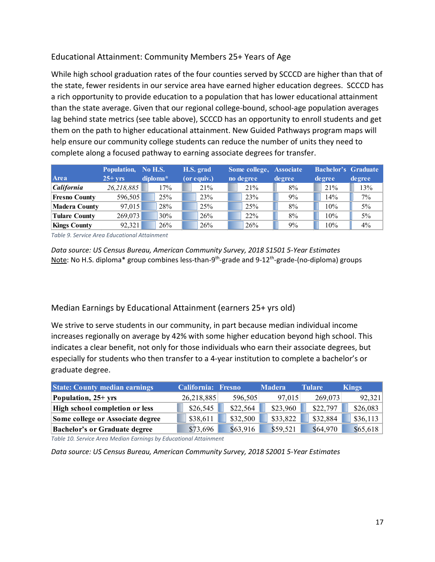#### Educational Attainment: Community Members 25+ Years of Age

While high school graduation rates of the four counties served by SCCCD are higher than that of the state, fewer residents in our service area have earned higher education degrees. SCCCD has a rich opportunity to provide education to a population that has lower educational attainment than the state average. Given that our regional college-bound, school-age population averages lag behind state metrics (see table above), SCCCD has an opportunity to enroll students and get them on the path to higher educational attainment. New Guided Pathways program maps will help ensure our community college students can reduce the number of units they need to complete along a focused pathway to earning associate degrees for transfer.

|                          | Population, No H.S. |          | H.S. grad   | Some college, Associate |        | <b>Bachelor's Graduate</b> |        |
|--------------------------|---------------------|----------|-------------|-------------------------|--------|----------------------------|--------|
| Area                     | $25+vrs$            | diploma* | (or equiv.) | no degree               | degree | degree                     | degree |
| <i><b>California</b></i> | 26,218,885          | 17%      | 21%         | 21%                     | 8%     | 21%                        | 13%    |
| <b>Fresno County</b>     | 596,505             | 25%      | 23%         | 23%                     | 9%     | 14%                        | $7\%$  |
| <b>Madera County</b>     | 97,015              | 28%      | 25%         | 25%                     | 8%     | 10%                        | 5%     |
| <b>Tulare County</b>     | 269,073             | 30%      | 26%         | 22%                     | 8%     | 10%                        | 5%     |
| <b>Kings County</b>      | 92,321              | 26%      | 26%         | 26%                     | 9%     | 10%                        | 4%     |

<span id="page-16-0"></span>*Table 9. Service Area Educational Attainment*

*Data source: US Census Bureau, American Community Survey, 2018 S1501 5-Year Estimates* Note: No H.S. diploma\* group combines less-than-9<sup>th</sup>-grade and 9-12<sup>th</sup>-grade-(no-diploma) groups

#### Median Earnings by Educational Attainment (earners 25+ yrs old)

We strive to serve students in our community, in part because median individual income increases regionally on average by 42% with some higher education beyond high school. This indicates a clear benefit, not only for those individuals who earn their associate degrees, but especially for students who then transfer to a 4-year institution to complete a bachelor's or graduate degree.

| <b>State: County median earnings</b> | <b>California: Fresno</b> |          | <b>Madera</b> | <b>Tulare</b> | <b>Kings</b> |
|--------------------------------------|---------------------------|----------|---------------|---------------|--------------|
| Population, 25+ yrs                  | 26,218,885                | 596,505  | 97,015        | 269,073       | 92,321       |
| High school completion or less       | \$26,545                  | \$22,564 | \$23,960      | \$22,797      | \$26,083     |
| Some college or Associate degree     | \$38,611                  | \$32,500 | \$33,822      | \$32,884      | \$36,113     |
| <b>Bachelor's or Graduate degree</b> | \$73,696                  | \$63,916 | \$59,521      | \$64,970      | \$65,618     |

<span id="page-16-1"></span>*Table 10. Service Area Median Earnings by Educational Attainment*

*Data source: US Census Bureau, American Community Survey, 2018 S2001 5-Year Estimates*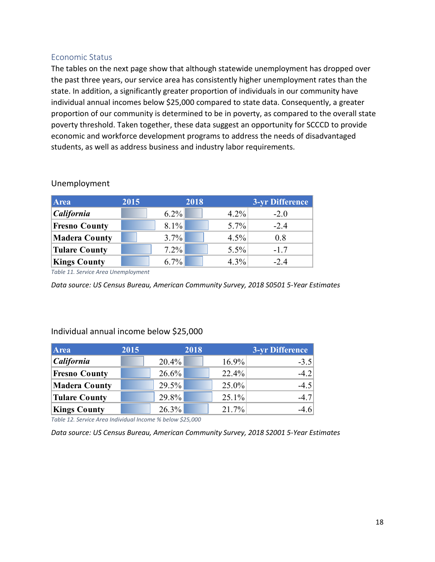#### <span id="page-17-0"></span>Economic Status

The tables on the next page show that although statewide unemployment has dropped over the past three years, our service area has consistently higher unemployment rates than the state. In addition, a significantly greater proportion of individuals in our community have individual annual incomes below \$25,000 compared to state data. Consequently, a greater proportion of our community is determined to be in poverty, as compared to the overall state poverty threshold. Taken together, these data suggest an opportunity for SCCCD to provide economic and workforce development programs to address the needs of disadvantaged students, as well as address business and industry labor requirements.

| <b>Area</b>          | 2015    | 2018 |         | 3-yr Difference |
|----------------------|---------|------|---------|-----------------|
| California           | $6.2\%$ |      | $4.2\%$ | $-2.0$          |
| <b>Fresno County</b> | $8.1\%$ |      | 5.7%    | $-2.4$          |
| <b>Madera County</b> | 3.7%    |      | 4.5%    | 0.8             |
| <b>Tulare County</b> | $7.2\%$ |      | 5.5%    | $-1.7$          |
| <b>Kings County</b>  | $6.7\%$ |      | 4.3%    | $-2.4$          |

#### Unemployment

<span id="page-17-1"></span>*Table 11. Service Area Unemployment*

*Data source: US Census Bureau, American Community Survey, 2018 S0501 5-Year Estimates*

#### Individual annual income below \$25,000

| Area                 | 2015 |          | 2018 |       | 3-yr Difference |
|----------------------|------|----------|------|-------|-----------------|
| <b>California</b>    |      | $20.4\%$ |      | 16.9% | $-3.5$          |
| <b>Fresno County</b> |      | $26.6\%$ |      | 22.4% | $-4.2$          |
| <b>Madera County</b> |      | 29.5%    |      | 25.0% | $-4.5$          |
| Tulare County        |      | 29.8%    |      | 25.1% | $-4.7$          |
| <b>Kings County</b>  |      | 26.3%    |      | 21.7% | $-4.6$          |

<span id="page-17-2"></span>*Table 12. Service Area Individual Income % below \$25,000*

*Data source: US Census Bureau, American Community Survey, 2018 S2001 5-Year Estimates*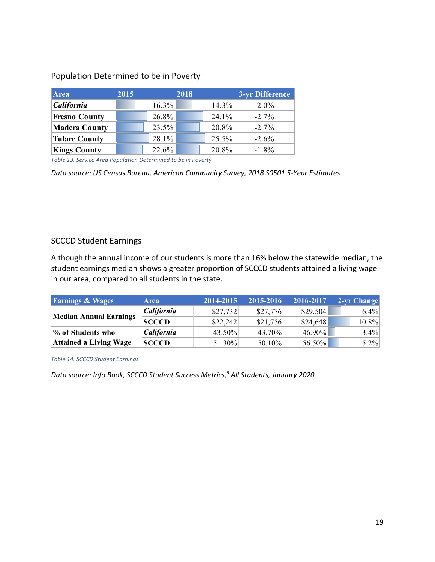#### Population Determined to be in Poverty

| <b>Area</b>          | 2015 |          | 2018 |       | 3-yr Difference |
|----------------------|------|----------|------|-------|-----------------|
| California           |      | 16.3%    |      | 14.3% | $-2.0\%$        |
| <b>Fresno County</b> |      | $26.8\%$ |      | 24.1% | $-2.7\%$        |
| <b>Madera County</b> |      | 23.5%    |      | 20.8% | $-2.7\%$        |
| <b>Tulare County</b> |      | $28.1\%$ |      | 25.5% | $-2.6\%$        |
| <b>Kings County</b>  |      | 22.6%    |      | 20.8% | $-1.8\%$        |

<span id="page-18-0"></span>*Table 13. Service Area Population Determined to be in Poverty*

*Data source: US Census Bureau, American Community Survey, 2018 S0501 5-Year Estimates*

#### SCCCD Student Earnings

Although the annual income of our students is more than 16% below the statewide median, the student earnings median shows a greater proportion of SCCCD students attained a living wage in our area, compared to all students in the state.

| <b>Earnings &amp; Wages</b>   | <b>Area</b>       | 2014-2015 | 2015-2016 | 2016-2017 | 2-yr Change |
|-------------------------------|-------------------|-----------|-----------|-----------|-------------|
|                               | <i>California</i> | \$27,732  | \$27,776  | \$29,504  | $6.4\%$     |
| <b>Median Annual Earnings</b> | <b>SCCCD</b>      | \$22,242  | \$21,756  | \$24,648  | $10.8\%$    |
| % of Students who             | California        | 43.50%    | 43.70%    | 46.90%    | $3.4\%$     |
| <b>Attained a Living Wage</b> | <b>SCCCD</b>      | 51.30%    | 50.10%    | 56.50%    | $5.2\%$     |

<span id="page-18-1"></span>*Table 14. SCCCD Student Earnings*

*Data source: Info Book, SCCCD Student Success Metrics, <sup>5</sup> All Students, January 2020*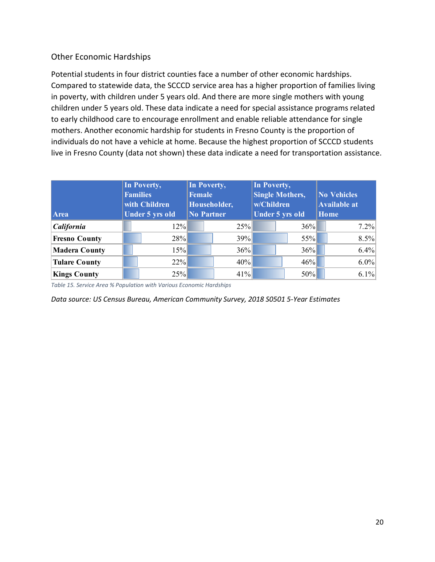#### Other Economic Hardships

Potential students in four district counties face a number of other economic hardships. Compared to statewide data, the SCCCD service area has a higher proportion of families living in poverty, with children under 5 years old. And there are more single mothers with young children under 5 years old. These data indicate a need for special assistance programs related to early childhood care to encourage enrollment and enable reliable attendance for single mothers. Another economic hardship for students in Fresno County is the proportion of individuals do not have a vehicle at home. Because the highest proportion of SCCCD students live in Fresno County (data not shown) these data indicate a need for transportation assistance.

|                      | In Poverty,            | In Poverty,       |     | In Poverty,            |     |                     |
|----------------------|------------------------|-------------------|-----|------------------------|-----|---------------------|
|                      | <b>Families</b>        | <b>Female</b>     |     | <b>Single Mothers,</b> |     | <b>No Vehicles</b>  |
|                      | with Children          | Householder,      |     | w/Children             |     | <b>Available at</b> |
| Area                 | <b>Under 5 yrs old</b> | <b>No Partner</b> |     | Under 5 yrs old        |     | Home                |
| California           | 12%                    |                   | 25% |                        | 36% | $7.2\%$             |
| <b>Fresno County</b> | 28%                    |                   | 39% |                        | 55% | 8.5%                |
| <b>Madera County</b> | 15%                    |                   | 36% |                        | 36% | 6.4%                |
| <b>Tulare County</b> | $22\%$                 |                   | 40% |                        | 46% | $6.0\%$             |
| <b>Kings County</b>  | 25%                    |                   | 41% |                        | 50% | 6.1%                |

<span id="page-19-0"></span>*Table 15. Service Area % Population with Various Economic Hardships*

*Data source: US Census Bureau, American Community Survey, 2018 S0501 5-Year Estimates*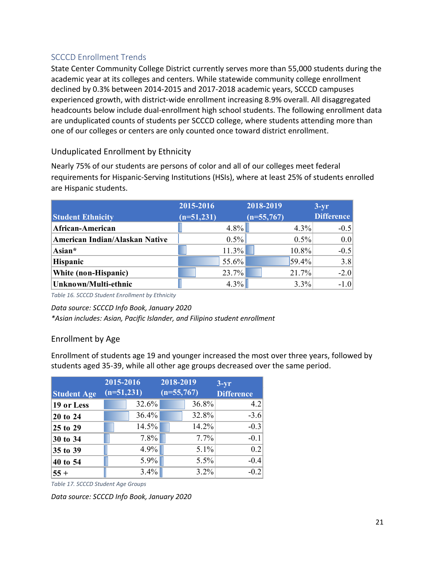#### <span id="page-20-0"></span>SCCCD Enrollment Trends

State Center Community College District currently serves more than 55,000 students during the academic year at its colleges and centers. While statewide community college enrollment declined by 0.3% between 2014-2015 and 2017-2018 academic years, SCCCD campuses experienced growth, with district-wide enrollment increasing 8.9% overall. All disaggregated headcounts below include dual-enrollment high school students. The following enrollment data are unduplicated counts of students per SCCCD college, where students attending more than one of our colleges or centers are only counted once toward district enrollment.

#### Unduplicated Enrollment by Ethnicity

Nearly 75% of our students are persons of color and all of our colleges meet federal requirements for Hispanic-Serving Institutions (HSIs), where at least 25% of students enrolled are Hispanic students.

|                                | 2015-2016    |         | 2018-2019    |       | $3-yr$            |
|--------------------------------|--------------|---------|--------------|-------|-------------------|
| <b>Student Ethnicity</b>       | $(n=51,231)$ |         | $(n=55,767)$ |       | <b>Difference</b> |
| African-American               |              | $4.8\%$ |              | 4.3%  | $-0.5$            |
| American Indian/Alaskan Native |              | $0.5\%$ |              | 0.5%  | 0.0               |
| Asian*                         |              | 11.3%   |              | 10.8% | $-0.5$            |
| <b>Hispanic</b>                |              | 55.6%   |              | 59.4% | 3.8               |
| White (non-Hispanic)           |              | 23.7%   |              | 21.7% | $-2.0$            |
| Unknown/Multi-ethnic           |              | 4.3%    |              | 3.3%  | $-1.0$            |

<span id="page-20-1"></span>*Table 16. SCCCD Student Enrollment by Ethnicity*

#### *Data source: SCCCD Info Book, January 2020*

*\*Asian includes: Asian, Pacific Islander, and Filipino student enrollment*

#### Enrollment by Age

Enrollment of students age 19 and younger increased the most over three years, followed by students aged 35-39, while all other age groups decreased over the same period.

|                    | 2015-2016    | 2018-2019    | $3-yr$            |
|--------------------|--------------|--------------|-------------------|
| <b>Student Age</b> | $(n=51,231)$ | $(n=55,767)$ | <b>Difference</b> |
| 19 or Less         | 32.6%        | 36.8%        | 4.2               |
| 20 to 24           | 36.4%        | 32.8%        | $-3.6$            |
| 25 to 29           | 14.5%        | 14.2%        | $-0.3$            |
| 30 to 34           | $7.8\%$      | $7.7\%$      | $-0.1$            |
| 35 to 39           | $4.9\%$      | 5.1%         | 0.2               |
| 40 to 54           | $5.9\%$      | 5.5%         | $-0.4$            |
| $55+$              | $3.4\%$      | 3.2%         | $-0.2$            |

<span id="page-20-2"></span>*Table 17. SCCCD Student Age Groups*

*Data source: SCCCD Info Book, January 2020*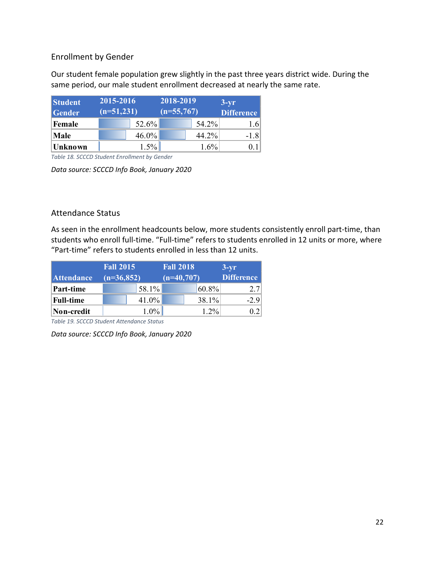#### Enrollment by Gender

Our student female population grew slightly in the past three years district wide. During the same period, our male student enrollment decreased at nearly the same rate.

| <b>Student</b> | 2015-2016    | 2018-2019    | $3-yr$            |
|----------------|--------------|--------------|-------------------|
| <b>Gender</b>  | $(n=51,231)$ | $(n=55,767)$ | <b>Difference</b> |
| <b>Female</b>  | 52.6%        | 54.2%        | 1.6               |
| Male           | $46.0\%$     | 44.2%        | $-1.8$            |
| <b>Unknown</b> | 1.5%         | 1.6%         |                   |

<span id="page-21-0"></span>*Table 18. SCCCD Student Enrollment by Gender*

*Data source: SCCCD Info Book, January 2020*

#### Attendance Status

As seen in the enrollment headcounts below, more students consistently enroll part-time, than students who enroll full-time. "Full-time" refers to students enrolled in 12 units or more, where "Part-time" refers to students enrolled in less than 12 units.

|                   | <b>Fall 2015</b> | <b>Fall 2018</b> | $3-vr$            |
|-------------------|------------------|------------------|-------------------|
| <b>Attendance</b> | $(n=36,852)$     | $(n=40,707)$     | <b>Difference</b> |
| Part-time         | $58.1\%$         | 60.8%            | 2.7               |
| <b>Full-time</b>  | $41.0\%$         | 38.1%            | $-2.9$            |
| Non-credit        | $1.0\%$          | $1.2\%$          | 0.21              |

<span id="page-21-1"></span>*Table 19. SCCCD Student Attendance Status*

*Data source: SCCCD Info Book, January 2020*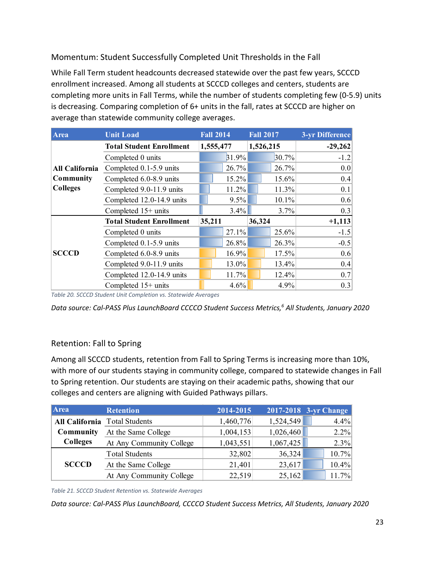#### Momentum: Student Successfully Completed Unit Thresholds in the Fall

While Fall Term student headcounts decreased statewide over the past few years, SCCCD enrollment increased. Among all students at SCCCD colleges and centers, students are completing more units in Fall Terms, while the number of students completing few (0-5.9) units is decreasing. Comparing completion of 6+ units in the fall, rates at SCCCD are higher on average than statewide community college averages.

| Area                  | <b>Unit Load</b>                | <b>Fall 2014</b> |        | <b>Fall 2017</b> | 3-yr Difference |
|-----------------------|---------------------------------|------------------|--------|------------------|-----------------|
|                       | <b>Total Student Enrollment</b> | 1,555,477        |        | 1,526,215        | $-29,262$       |
|                       | Completed 0 units               | 31.9%            |        | 30.7%            | $-1.2$          |
| <b>All California</b> | Completed 0.1-5.9 units         | 26.7%            |        | 26.7%            | 0.0             |
| Community             | Completed 6.0-8.9 units         | 15.2%            |        | 15.6%            | 0.4             |
| <b>Colleges</b>       | Completed 9.0-11.9 units        | 11.2%            |        | 11.3%            | 0.1             |
|                       | Completed 12.0-14.9 units       | 9.5%             |        | 10.1%            | 0.6             |
|                       | Completed 15+ units             | $3.4\%$          |        | 3.7%             | 0.3             |
|                       | <b>Total Student Enrollment</b> | 35,211           | 36,324 |                  | $+1,113$        |
|                       | Completed 0 units               | 27.1%            |        | 25.6%            | $-1.5$          |
|                       | Completed 0.1-5.9 units         | 26.8%            |        | 26.3%            | $-0.5$          |
| <b>SCCCD</b>          | Completed 6.0-8.9 units         | 16.9%            |        | 17.5%            | 0.6             |
|                       | Completed 9.0-11.9 units        | 13.0%            |        | 13.4%            | 0.4             |
|                       | Completed 12.0-14.9 units       | 11.7%            |        | 12.4%            | 0.7             |
|                       | Completed 15+ units             | 4.6%             |        | 4.9%             | 0.3             |

<span id="page-22-0"></span>*Table 20. SCCCD Student Unit Completion vs. Statewide Averages*

*Data source: Cal-PASS Plus LaunchBoard CCCCO Student Success Metrics,6 All Students, January 2020*

#### Retention: Fall to Spring

Among all SCCCD students, retention from Fall to Spring Terms is increasing more than 10%, with more of our students staying in community college, compared to statewide changes in Fall to Spring retention. Our students are staying on their academic paths, showing that our colleges and centers are aligning with Guided Pathways pillars.

| Area            | <b>Retention</b>              | 2014-2015 |           | 2017-2018 3-yr Change |
|-----------------|-------------------------------|-----------|-----------|-----------------------|
|                 | All California Total Students | 1,460,776 | 1,524,549 | 4.4%                  |
| Community       | At the Same College           | 1,004,153 | 1,026,460 | 2.2%                  |
| <b>Colleges</b> | At Any Community College      | 1,043,551 | 1,067,425 | 2.3%                  |
|                 | <b>Total Students</b>         | 32,802    | 36,324    | 10.7%                 |
| <b>SCCCD</b>    | At the Same College           | 21,401    | 23,617    | 10.4%                 |
|                 | At Any Community College      | 22,519    | 25,162    | 11.7%                 |

<span id="page-22-1"></span>*Table 21. SCCCD Student Retention vs. Statewide Averages*

*Data source: Cal-PASS Plus LaunchBoard, CCCCO Student Success Metrics, All Students, January 2020*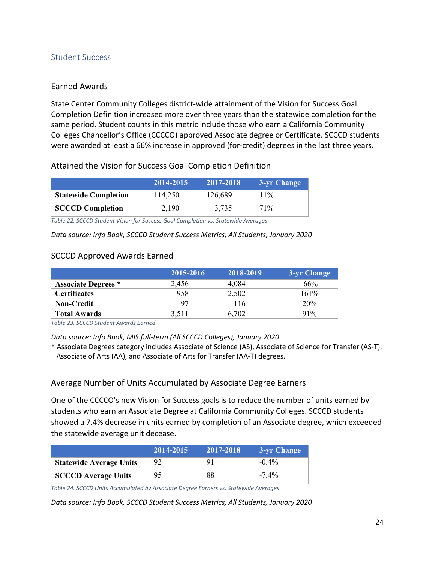#### <span id="page-23-0"></span>Student Success

#### Earned Awards

State Center Community Colleges district-wide attainment of the Vision for Success Goal Completion Definition increased more over three years than the statewide completion for the same period. Student counts in this metric include those who earn a California Community Colleges Chancellor's Office (CCCCO) approved Associate degree or Certificate. SCCCD students were awarded at least a 66% increase in approved (for-credit) degrees in the last three years.

#### Attained the Vision for Success Goal Completion Definition

|                             | 2014-2015 | 2017-2018 | 3-yr Change |
|-----------------------------|-----------|-----------|-------------|
| <b>Statewide Completion</b> | 114,250   | 126,689   | $11\%$      |
| <b>SCCCD Completion</b>     | 2.190     | 3.735     | 71%         |

<span id="page-23-1"></span>*Table 22. SCCCD Student Vision for Success Goal Completion vs. Statewide Averages*

*Data source: Info Book, SCCCD Student Success Metrics, All Students, January 2020*

#### SCCCD Approved Awards Earned

|                            | 2015-2016 | 2018-2019 | 3-yr Change |
|----------------------------|-----------|-----------|-------------|
| <b>Associate Degrees</b> * | 2.456     | 4.084     | 66%         |
| <b>Certificates</b>        | 958       | 2,502     | 161%        |
| <b>Non-Credit</b>          | 97        | 116       | 20%         |
| <b>Total Awards</b>        | 3,511     | 6,702     | $91\%$      |

<span id="page-23-2"></span>*Table 23. SCCCD Student Awards Earned*

*Data source: Info Book, MIS full-term (All SCCCD Colleges), January 2020*

\* Associate Degrees category includes Associate of Science (AS), Associate of Science for Transfer (AS-T), Associate of Arts (AA), and Associate of Arts for Transfer (AA-T) degrees.

Average Number of Units Accumulated by Associate Degree Earners

One of the CCCCO's new Vision for Success goals is to reduce the number of units earned by students who earn an Associate Degree at California Community Colleges. SCCCD students showed a 7.4% decrease in units earned by completion of an Associate degree, which exceeded the statewide average unit decease.

|                                | 2014-2015 | 2017-2018 | 3-yr Change |
|--------------------------------|-----------|-----------|-------------|
| <b>Statewide Average Units</b> |           | 91        | $-0.4\%$    |
| <b>SCCCD</b> Average Units     | 95.       | 88        | $-7.4\%$    |

<span id="page-23-3"></span>*Table 24. SCCCD Units Accumulated by Associate Degree Earners vs. Statewide Averages*

*Data source: Info Book, SCCCD Student Success Metrics, All Students, January 2020*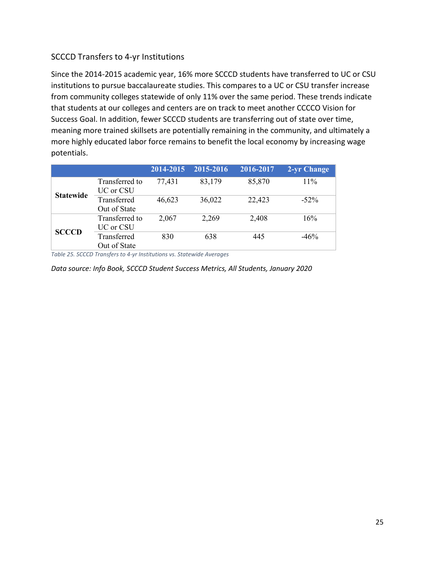#### SCCCD Transfers to 4-yr Institutions

Since the 2014-2015 academic year, 16% more SCCCD students have transferred to UC or CSU institutions to pursue baccalaureate studies. This compares to a UC or CSU transfer increase from community colleges statewide of only 11% over the same period. These trends indicate that students at our colleges and centers are on track to meet another CCCCO Vision for Success Goal. In addition, fewer SCCCD students are transferring out of state over time, meaning more trained skillsets are potentially remaining in the community, and ultimately a more highly educated labor force remains to benefit the local economy by increasing wage potentials.

|                  |                             | 2014-2015 | 2015-2016 | 2016-2017 | 2-yr Change |
|------------------|-----------------------------|-----------|-----------|-----------|-------------|
|                  | Transferred to<br>UC or CSU | 77,431    | 83,179    | 85,870    | 11%         |
| <b>Statewide</b> | Transferred<br>Out of State | 46,623    | 36,022    | 22,423    | $-52\%$     |
| <b>SCCCD</b>     | Transferred to<br>UC or CSU | 2,067     | 2,269     | 2,408     | 16%         |
|                  | Transferred<br>Out of State | 830       | 638       | 445       | $-46%$      |

<span id="page-24-0"></span>*Table 25. SCCCD Transfers to 4-yr Institutions vs. Statewide Averages*

*Data source: Info Book, SCCCD Student Success Metrics, All Students, January 2020*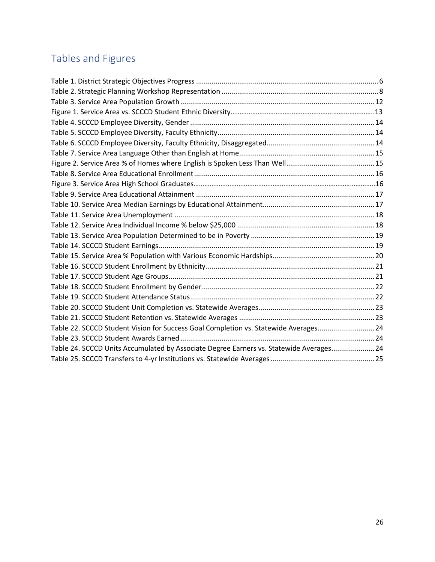## <span id="page-25-0"></span>Tables and Figures

| Table 22. SCCCD Student Vision for Success Goal Completion vs. Statewide Averages24     |  |
|-----------------------------------------------------------------------------------------|--|
|                                                                                         |  |
| Table 24. SCCCD Units Accumulated by Associate Degree Earners vs. Statewide Averages 24 |  |
|                                                                                         |  |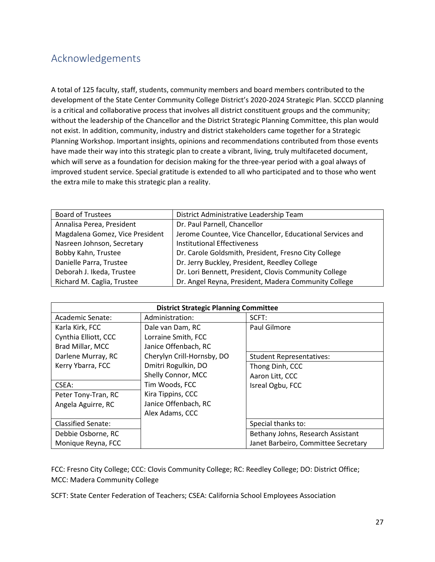## <span id="page-26-0"></span>Acknowledgements

A total of 125 faculty, staff, students, community members and board members contributed to the development of the State Center Community College District's 2020-2024 Strategic Plan. SCCCD planning is a critical and collaborative process that involves all district constituent groups and the community; without the leadership of the Chancellor and the District Strategic Planning Committee, this plan would not exist. In addition, community, industry and district stakeholders came together for a Strategic Planning Workshop. Important insights, opinions and recommendations contributed from those events have made their way into this strategic plan to create a vibrant, living, truly multifaceted document, which will serve as a foundation for decision making for the three-year period with a goal always of improved student service. Special gratitude is extended to all who participated and to those who went the extra mile to make this strategic plan a reality.

| <b>Board of Trustees</b>        | District Administrative Leadership Team                   |
|---------------------------------|-----------------------------------------------------------|
| Annalisa Perea, President       | Dr. Paul Parnell, Chancellor                              |
| Magdalena Gomez, Vice President | Jerome Countee, Vice Chancellor, Educational Services and |
| Nasreen Johnson, Secretary      | <b>Institutional Effectiveness</b>                        |
| Bobby Kahn, Trustee             | Dr. Carole Goldsmith, President, Fresno City College      |
| Danielle Parra, Trustee         | Dr. Jerry Buckley, President, Reedley College             |
| Deborah J. Ikeda, Trustee       | Dr. Lori Bennett, President, Clovis Community College     |
| Richard M. Caglia, Trustee      | Dr. Angel Reyna, President, Madera Community College      |

| <b>District Strategic Planning Committee</b> |                            |                                     |  |
|----------------------------------------------|----------------------------|-------------------------------------|--|
| Academic Senate:                             | Administration:            | SCFT:                               |  |
| Karla Kirk, FCC                              | Dale van Dam, RC           | Paul Gilmore                        |  |
| Cynthia Elliott, CCC                         | Lorraine Smith, FCC        |                                     |  |
| Brad Millar, MCC                             | Janice Offenbach, RC       |                                     |  |
| Darlene Murray, RC                           | Cherylyn Crill-Hornsby, DO | <b>Student Representatives:</b>     |  |
| Kerry Ybarra, FCC                            | Dmitri Rogulkin, DO        | Thong Dinh, CCC                     |  |
|                                              | Shelly Connor, MCC         | Aaron Litt, CCC                     |  |
| CSEA:                                        | Tim Woods, FCC             | Isreal Ogbu, FCC                    |  |
| Peter Tony-Tran, RC                          | Kira Tippins, CCC          |                                     |  |
| Angela Aguirre, RC                           | Janice Offenbach, RC       |                                     |  |
|                                              | Alex Adams, CCC            |                                     |  |
| <b>Classified Senate:</b>                    |                            | Special thanks to:                  |  |
| Debbie Osborne, RC                           |                            | Bethany Johns, Research Assistant   |  |
| Monique Reyna, FCC                           |                            | Janet Barbeiro, Committee Secretary |  |

FCC: Fresno City College; CCC: Clovis Community College; RC: Reedley College; DO: District Office; MCC: Madera Community College

SCFT: State Center Federation of Teachers; CSEA: California School Employees Association